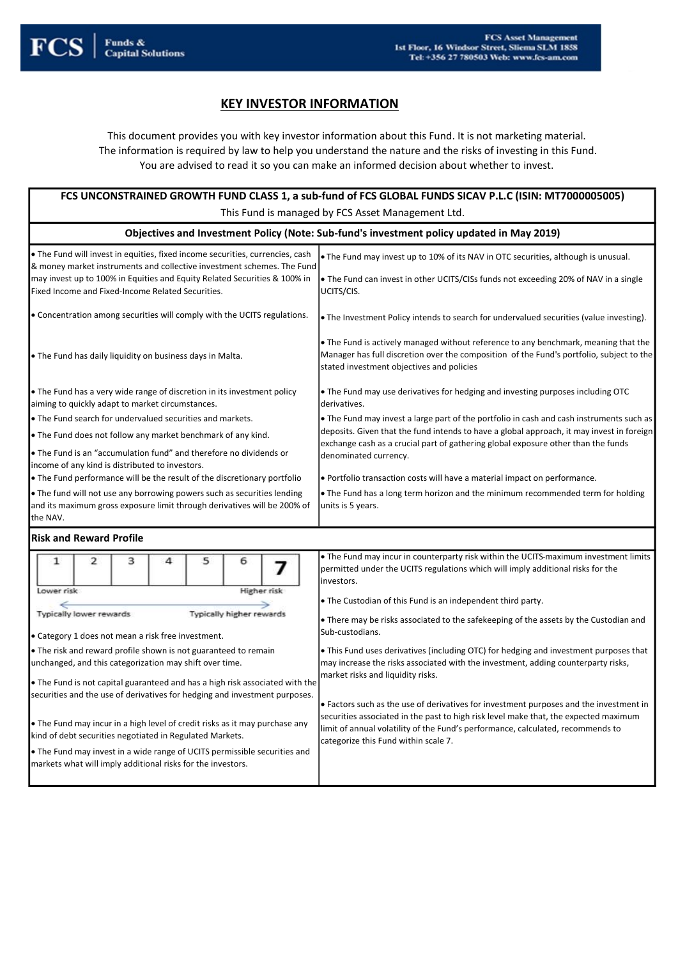

# **KEY INVESTOR INFORMATION**

This document provides you with key investor information about this Fund. It is not marketing material. The information is required by law to help you understand the nature and the risks of investing in this Fund. You are advised to read it so you can make an informed decision about whether to invest.

| FCS UNCONSTRAINED GROWTH FUND CLASS 1, a sub-fund of FCS GLOBAL FUNDS SICAV P.L.C (ISIN: MT7000005005)                                                                                                                                                                                                                                                                                                                                                                                                                                                                                                                                                                                                                                                                                      |                                                                                                                                                                                                                                                                                                                                                                                                                                                                                                                                                                                                                                                                                                                                                                                                                                                                                                   |  |  |  |  |
|---------------------------------------------------------------------------------------------------------------------------------------------------------------------------------------------------------------------------------------------------------------------------------------------------------------------------------------------------------------------------------------------------------------------------------------------------------------------------------------------------------------------------------------------------------------------------------------------------------------------------------------------------------------------------------------------------------------------------------------------------------------------------------------------|---------------------------------------------------------------------------------------------------------------------------------------------------------------------------------------------------------------------------------------------------------------------------------------------------------------------------------------------------------------------------------------------------------------------------------------------------------------------------------------------------------------------------------------------------------------------------------------------------------------------------------------------------------------------------------------------------------------------------------------------------------------------------------------------------------------------------------------------------------------------------------------------------|--|--|--|--|
| This Fund is managed by FCS Asset Management Ltd.                                                                                                                                                                                                                                                                                                                                                                                                                                                                                                                                                                                                                                                                                                                                           |                                                                                                                                                                                                                                                                                                                                                                                                                                                                                                                                                                                                                                                                                                                                                                                                                                                                                                   |  |  |  |  |
|                                                                                                                                                                                                                                                                                                                                                                                                                                                                                                                                                                                                                                                                                                                                                                                             | Objectives and Investment Policy (Note: Sub-fund's investment policy updated in May 2019)                                                                                                                                                                                                                                                                                                                                                                                                                                                                                                                                                                                                                                                                                                                                                                                                         |  |  |  |  |
| . The Fund will invest in equities, fixed income securities, currencies, cash<br>& money market instruments and collective investment schemes. The Fund<br>may invest up to 100% in Equities and Equity Related Securities & 100% in<br>Fixed Income and Fixed-Income Related Securities.                                                                                                                                                                                                                                                                                                                                                                                                                                                                                                   | . The Fund may invest up to 10% of its NAV in OTC securities, although is unusual.<br>• The Fund can invest in other UCITS/CISs funds not exceeding 20% of NAV in a single<br>UCITS/CIS.                                                                                                                                                                                                                                                                                                                                                                                                                                                                                                                                                                                                                                                                                                          |  |  |  |  |
| • Concentration among securities will comply with the UCITS regulations.                                                                                                                                                                                                                                                                                                                                                                                                                                                                                                                                                                                                                                                                                                                    | • The Investment Policy intends to search for undervalued securities (value investing).                                                                                                                                                                                                                                                                                                                                                                                                                                                                                                                                                                                                                                                                                                                                                                                                           |  |  |  |  |
| . The Fund has daily liquidity on business days in Malta.                                                                                                                                                                                                                                                                                                                                                                                                                                                                                                                                                                                                                                                                                                                                   | . The Fund is actively managed without reference to any benchmark, meaning that the<br>Manager has full discretion over the composition of the Fund's portfolio, subject to the<br>stated investment objectives and policies                                                                                                                                                                                                                                                                                                                                                                                                                                                                                                                                                                                                                                                                      |  |  |  |  |
| • The Fund has a very wide range of discretion in its investment policy<br>aiming to quickly adapt to market circumstances.                                                                                                                                                                                                                                                                                                                                                                                                                                                                                                                                                                                                                                                                 | . The Fund may use derivatives for hedging and investing purposes including OTC<br>derivatives.                                                                                                                                                                                                                                                                                                                                                                                                                                                                                                                                                                                                                                                                                                                                                                                                   |  |  |  |  |
| • The Fund search for undervalued securities and markets.                                                                                                                                                                                                                                                                                                                                                                                                                                                                                                                                                                                                                                                                                                                                   | • The Fund may invest a large part of the portfolio in cash and cash instruments such as                                                                                                                                                                                                                                                                                                                                                                                                                                                                                                                                                                                                                                                                                                                                                                                                          |  |  |  |  |
| . The Fund does not follow any market benchmark of any kind.                                                                                                                                                                                                                                                                                                                                                                                                                                                                                                                                                                                                                                                                                                                                | deposits. Given that the fund intends to have a global approach, it may invest in foreign<br>exchange cash as a crucial part of gathering global exposure other than the funds                                                                                                                                                                                                                                                                                                                                                                                                                                                                                                                                                                                                                                                                                                                    |  |  |  |  |
| . The Fund is an "accumulation fund" and therefore no dividends or<br>income of any kind is distributed to investors.<br>. The Fund performance will be the result of the discretionary portfolio<br>. The fund will not use any borrowing powers such as securities lending<br>and its maximum gross exposure limit through derivatives will be 200% of<br>the NAV.                                                                                                                                                                                                                                                                                                                                                                                                                        | denominated currency.<br>. Portfolio transaction costs will have a material impact on performance.<br>• The Fund has a long term horizon and the minimum recommended term for holding<br>units is 5 years.                                                                                                                                                                                                                                                                                                                                                                                                                                                                                                                                                                                                                                                                                        |  |  |  |  |
| <b>Risk and Reward Profile</b>                                                                                                                                                                                                                                                                                                                                                                                                                                                                                                                                                                                                                                                                                                                                                              |                                                                                                                                                                                                                                                                                                                                                                                                                                                                                                                                                                                                                                                                                                                                                                                                                                                                                                   |  |  |  |  |
| 5<br>$\mathbf{1}$<br>$\overline{2}$<br>з<br>4<br>6<br>7<br>Lower risk<br>Higher risk<br>Typically lower rewards<br><b>Typically higher rewards</b><br>• Category 1 does not mean a risk free investment.<br>• The risk and reward profile shown is not guaranteed to remain<br>unchanged, and this categorization may shift over time.<br>• The Fund is not capital guaranteed and has a high risk associated with the<br>securities and the use of derivatives for hedging and investment purposes.<br>• The Fund may incur in a high level of credit risks as it may purchase any<br>kind of debt securities negotiated in Regulated Markets.<br>• The Fund may invest in a wide range of UCITS permissible securities and<br>markets what will imply additional risks for the investors. | • The Fund may incur in counterparty risk within the UCITS-maximum investment limits<br>permitted under the UCITS regulations which will imply additional risks for the<br>linvestors.<br>• The Custodian of this Fund is an independent third party.<br>• There may be risks associated to the safekeeping of the assets by the Custodian and<br>Sub-custodians.<br>. This Fund uses derivatives (including OTC) for hedging and investment purposes that<br>may increase the risks associated with the investment, adding counterparty risks,<br>market risks and liquidity risks.<br>• Factors such as the use of derivatives for investment purposes and the investment in<br>securities associated in the past to high risk level make that, the expected maximum<br>limit of annual volatility of the Fund's performance, calculated, recommends to<br>categorize this Fund within scale 7. |  |  |  |  |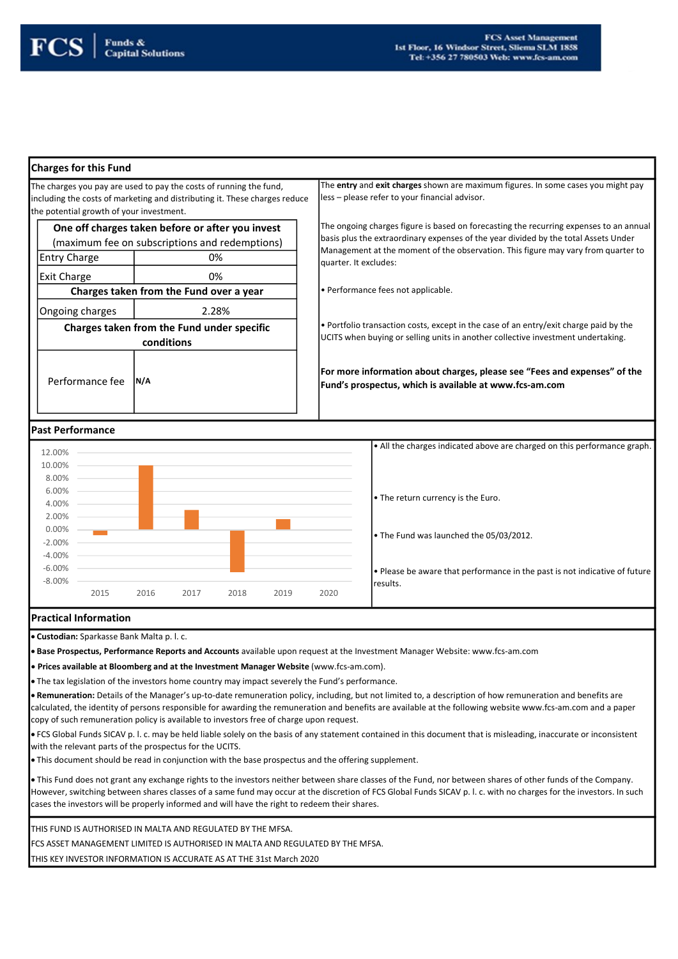### Charges for this Fund

The charges you pay are used to pay the costs of running the fund, including the costs of marketing and distributing it. These charges reduce the potential growth of your investment.

| One off charges taken before or after you invest |    |  |
|--------------------------------------------------|----|--|
| (maximum fee on subscriptions and redemptions)   |    |  |
| <b>Entry Charge</b>                              | 0% |  |
| <b>Exit Charge</b>                               | 0% |  |
|                                                  |    |  |

Charges taken from the Fund over a year

Ongoing charges Charges taken from the Fund under specific conditions 2.28%

Performance fee | N/A

The entry and exit charges shown are maximum figures. In some cases you might pay less – please refer to your financial advisor.

The ongoing charges figure is based on forecasting the recurring expenses to an annual basis plus the extraordinary expenses of the year divided by the total Assets Under Management at the moment of the observation. This figure may vary from quarter to quarter. It excludes:

• Performance fees not applicable.

• Portfolio transaction costs, except in the case of an entry/exit charge paid by the UCITS when buying or selling units in another collective investment undertaking.

For more information about charges, please see "Fees and expenses" of the Fund's prospectus, which is available at www.fcs-am.com

## Past Performance



## Practical Information

Custodian: Sparkasse Bank Malta p. l. c.

**Base Prospectus, Performance Reports and Accounts** available upon request at the Investment Manager Website: www.fcs-am.com

Prices available at Bloomberg and at the Investment Manager Website (www.fcs-am.com).

The tax legislation of the investors home country may impact severely the Fund's performance.

. Remuneration: Details of the Manager's up-to-date remuneration policy, including, but not limited to, a description of how remuneration and benefits are calculated, the identity of persons responsible for awarding the remuneration and benefits are available at the following website www.fcs-am.com and a paper copy of such remuneration policy is available to investors free of charge upon request.

 FCS Global Funds SICAV p. l. c. may be held liable solely on the basis of any statement contained in this document that is misleading, inaccurate or inconsistent with the relevant parts of the prospectus for the UCITS.

This document should be read in conjunction with the base prospectus and the offering supplement.

 This Fund does not grant any exchange rights to the investors neither between share classes of the Fund, nor between shares of other funds of the Company. However, switching between shares classes of a same fund may occur at the discretion of FCS Global Funds SICAV p. l. c. with no charges for the investors. In such cases the investors will be properly informed and will have the right to redeem their shares.

THIS FUND IS AUTHORISED IN MALTA AND REGULATED BY THE MFSA.

FCS ASSET MANAGEMENT LIMITED IS AUTHORISED IN MALTA AND REGULATED BY THE MFSA.

THIS KEY INVESTOR INFORMATION IS ACCURATE AS AT THE 31st March 2020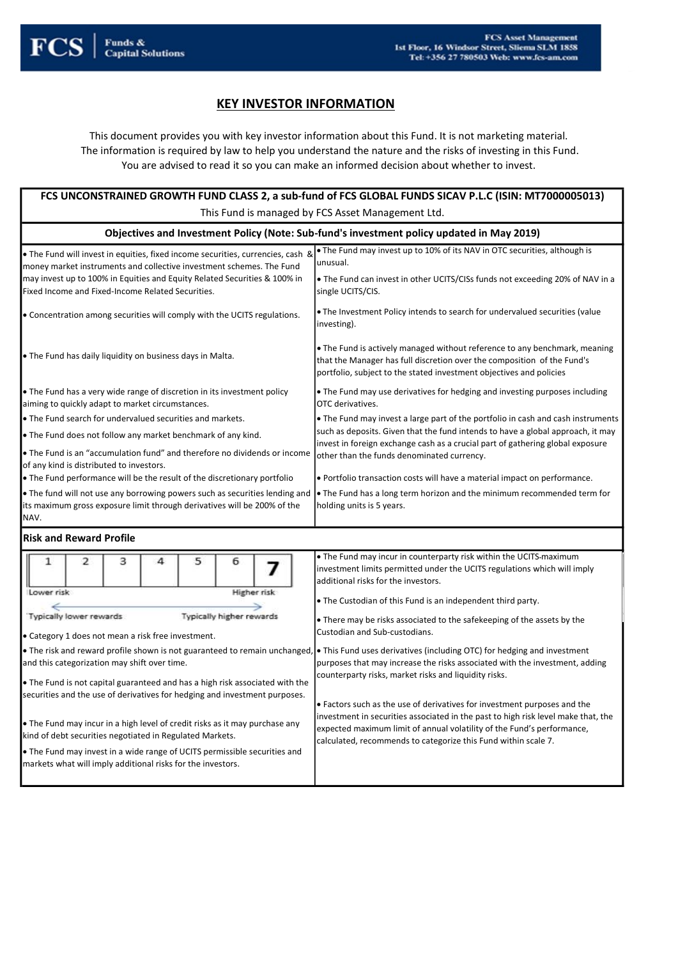

# **KEY INVESTOR INFORMATION**

This document provides you with key investor information about this Fund. It is not marketing material. The information is required by law to help you understand the nature and the risks of investing in this Fund. You are advised to read it so you can make an informed decision about whether to invest.

|                                                                                                                                                                                                                                                                                                                                                                                                                                                                                                                                                                                                                                                                                                                                                         | FCS UNCONSTRAINED GROWTH FUND CLASS 2, a sub-fund of FCS GLOBAL FUNDS SICAV P.L.C (ISIN: MT7000005013)                                                                                                                                                                                                                                                                                                                                                                                                                                                                                                                                                                                                                                                                                                                                                                                                   |
|---------------------------------------------------------------------------------------------------------------------------------------------------------------------------------------------------------------------------------------------------------------------------------------------------------------------------------------------------------------------------------------------------------------------------------------------------------------------------------------------------------------------------------------------------------------------------------------------------------------------------------------------------------------------------------------------------------------------------------------------------------|----------------------------------------------------------------------------------------------------------------------------------------------------------------------------------------------------------------------------------------------------------------------------------------------------------------------------------------------------------------------------------------------------------------------------------------------------------------------------------------------------------------------------------------------------------------------------------------------------------------------------------------------------------------------------------------------------------------------------------------------------------------------------------------------------------------------------------------------------------------------------------------------------------|
|                                                                                                                                                                                                                                                                                                                                                                                                                                                                                                                                                                                                                                                                                                                                                         | This Fund is managed by FCS Asset Management Ltd.                                                                                                                                                                                                                                                                                                                                                                                                                                                                                                                                                                                                                                                                                                                                                                                                                                                        |
|                                                                                                                                                                                                                                                                                                                                                                                                                                                                                                                                                                                                                                                                                                                                                         | Objectives and Investment Policy (Note: Sub-fund's investment policy updated in May 2019)                                                                                                                                                                                                                                                                                                                                                                                                                                                                                                                                                                                                                                                                                                                                                                                                                |
| . The Fund will invest in equities, fixed income securities, currencies, cash &<br>money market instruments and collective investment schemes. The Fund<br>may invest up to 100% in Equities and Equity Related Securities & 100% in<br>Fixed Income and Fixed-Income Related Securities.                                                                                                                                                                                                                                                                                                                                                                                                                                                               | . The Fund may invest up to 10% of its NAV in OTC securities, although is<br>unusual.<br>• The Fund can invest in other UCITS/CISs funds not exceeding 20% of NAV in a<br>single UCITS/CIS.                                                                                                                                                                                                                                                                                                                                                                                                                                                                                                                                                                                                                                                                                                              |
| • Concentration among securities will comply with the UCITS regulations.                                                                                                                                                                                                                                                                                                                                                                                                                                                                                                                                                                                                                                                                                | . The Investment Policy intends to search for undervalued securities (value<br>investing).                                                                                                                                                                                                                                                                                                                                                                                                                                                                                                                                                                                                                                                                                                                                                                                                               |
| . The Fund has daily liquidity on business days in Malta.                                                                                                                                                                                                                                                                                                                                                                                                                                                                                                                                                                                                                                                                                               | • The Fund is actively managed without reference to any benchmark, meaning<br>that the Manager has full discretion over the composition of the Fund's<br>portfolio, subject to the stated investment objectives and policies                                                                                                                                                                                                                                                                                                                                                                                                                                                                                                                                                                                                                                                                             |
| • The Fund has a very wide range of discretion in its investment policy<br>aiming to quickly adapt to market circumstances.                                                                                                                                                                                                                                                                                                                                                                                                                                                                                                                                                                                                                             | • The Fund may use derivatives for hedging and investing purposes including<br>OTC derivatives.                                                                                                                                                                                                                                                                                                                                                                                                                                                                                                                                                                                                                                                                                                                                                                                                          |
| • The Fund search for undervalued securities and markets.<br>. The Fund does not follow any market benchmark of any kind.<br>. The Fund is an "accumulation fund" and therefore no dividends or income<br>of any kind is distributed to investors.<br>• The Fund performance will be the result of the discretionary portfolio<br>• The fund will not use any borrowing powers such as securities lending and<br>its maximum gross exposure limit through derivatives will be 200% of the<br>NAV.                                                                                                                                                                                                                                                       | • The Fund may invest a large part of the portfolio in cash and cash instruments<br>such as deposits. Given that the fund intends to have a global approach, it may<br>invest in foreign exchange cash as a crucial part of gathering global exposure<br>other than the funds denominated currency.<br>. Portfolio transaction costs will have a material impact on performance.<br>• The Fund has a long term horizon and the minimum recommended term for<br>holding units is 5 years.                                                                                                                                                                                                                                                                                                                                                                                                                 |
| <b>Risk and Reward Profile</b>                                                                                                                                                                                                                                                                                                                                                                                                                                                                                                                                                                                                                                                                                                                          |                                                                                                                                                                                                                                                                                                                                                                                                                                                                                                                                                                                                                                                                                                                                                                                                                                                                                                          |
| 1<br>2<br>з<br>4<br>5<br>6<br>Lower risk<br>Higher risk<br>Typically higher rewards<br>Typically lower rewards<br>• Category 1 does not mean a risk free investment.<br>. The risk and reward profile shown is not guaranteed to remain unchanged,<br>and this categorization may shift over time.<br>. The Fund is not capital guaranteed and has a high risk associated with the<br>securities and the use of derivatives for hedging and investment purposes.<br>• The Fund may incur in a high level of credit risks as it may purchase any<br>kind of debt securities negotiated in Regulated Markets.<br>• The Fund may invest in a wide range of UCITS permissible securities and<br>markets what will imply additional risks for the investors. | • The Fund may incur in counterparty risk within the UCITS maximum<br>investment limits permitted under the UCITS regulations which will imply<br>additional risks for the investors.<br>. The Custodian of this Fund is an independent third party.<br>• There may be risks associated to the safekeeping of the assets by the<br>Custodian and Sub-custodians.<br>$\bullet$ This Fund uses derivatives (including OTC) for hedging and investment<br>purposes that may increase the risks associated with the investment, adding<br>counterparty risks, market risks and liquidity risks.<br>• Factors such as the use of derivatives for investment purposes and the<br>investment in securities associated in the past to high risk level make that, the<br>expected maximum limit of annual volatility of the Fund's performance,<br>calculated, recommends to categorize this Fund within scale 7. |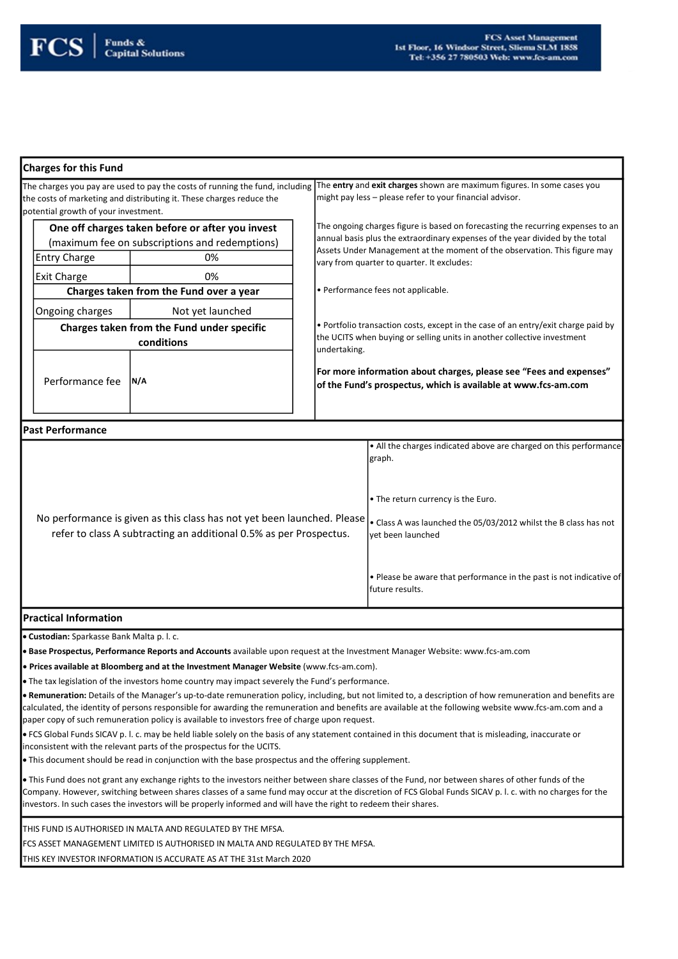

#### Charges for this Fund

The charges you pay are used to pay the costs of running the fund, including the costs of marketing and distributing it. These charges reduce the potential growth of your investment. The entry and exit charges shown are maximum figures. In some cases you might pay less – please refer to your financial advisor. One off charges taken before or after you invest

| One off charges taken before or after you invest |    |  |
|--------------------------------------------------|----|--|
| (maximum fee on subscriptions and redemptions)   |    |  |
| <b>Entry Charge</b><br>0%                        |    |  |
| <b>Exit Charge</b>                               | በ% |  |
| Charges taken from the Fund over a year          |    |  |
|                                                  |    |  |

Ongoing charges Not yet launched Charges taken from the Fund under specific conditions

Performance fee | N/A

The ongoing charges figure is based on forecasting the recurring expenses to an annual basis plus the extraordinary expenses of the year divided by the total Assets Under Management at the moment of the observation. This figure may vary from quarter to quarter. It excludes:

• Performance fees not applicable.

• Portfolio transaction costs, except in the case of an entry/exit charge paid by the UCITS when buying or selling units in another collective investment undertaking.

For more information about charges, please see "Fees and expenses" of the Fund's prospectus, which is available at www.fcs-am.com

| <b>IPast Performance</b>                                                                                                                                                                                        |                                                                                               |
|-----------------------------------------------------------------------------------------------------------------------------------------------------------------------------------------------------------------|-----------------------------------------------------------------------------------------------|
|                                                                                                                                                                                                                 | . All the charges indicated above are charged on this performance<br>graph.                   |
| No performance is given as this class has not yet been launched. Please  . Class A was launched the 05/03/2012 whilst the B class has not<br>refer to class A subtracting an additional 0.5% as per Prospectus. | • The return currency is the Euro.<br>vet been launched                                       |
|                                                                                                                                                                                                                 | $\cdot$ Please be aware that performance in the past is not indicative of<br>Ifuture results. |

## Practical Information

**Custodian:** Sparkasse Bank Malta p. l. c.

**Base Prospectus, Performance Reports and Accounts** available upon request at the Investment Manager Website: www.fcs-am.com

Prices available at Bloomberg and at the Investment Manager Website (www.fcs-am.com).

The tax legislation of the investors home country may impact severely the Fund's performance.

. Remuneration: Details of the Manager's up-to-date remuneration policy, including, but not limited to, a description of how remuneration and benefits are calculated, the identity of persons responsible for awarding the remuneration and benefits are available at the following website www.fcs-am.com and a paper copy of such remuneration policy is available to investors free of charge upon request.

 FCS Global Funds SICAV p. l. c. may be held liable solely on the basis of any statement contained in this document that is misleading, inaccurate or inconsistent with the relevant parts of the prospectus for the UCITS.

. This document should be read in conjunction with the base prospectus and the offering supplement.

This Fund does not grant any exchange rights to the investors neither between share classes of the Fund, nor between shares of other funds of the Company. However, switching between shares classes of a same fund may occur at the discretion of FCS Global Funds SICAV p. l. c. with no charges for the investors. In such cases the investors will be properly informed and will have the right to redeem their shares.

THIS FUND IS AUTHORISED IN MALTA AND REGULATED BY THE MFSA.

FCS ASSET MANAGEMENT LIMITED IS AUTHORISED IN MALTA AND REGULATED BY THE MFSA.

THIS KEY INVESTOR INFORMATION IS ACCURATE AS AT THE 31st March 2020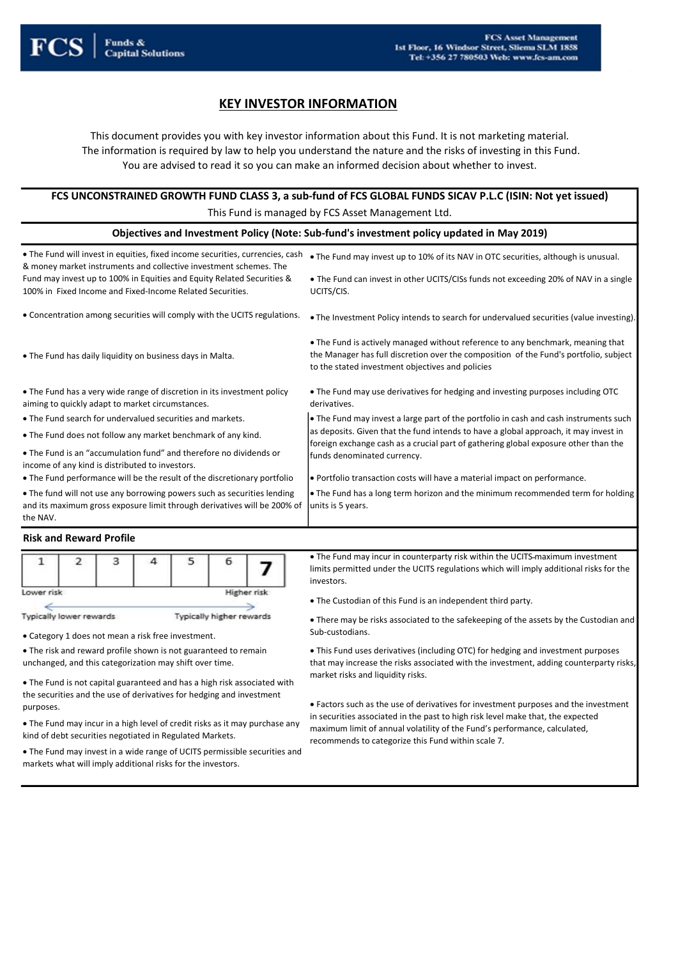

# KEY INVESTOR INFORMATION

This document provides you with key investor information about this Fund. It is not marketing material. The information is required by law to help you understand the nature and the risks of investing in this Fund. You are advised to read it so you can make an informed decision about whether to invest.

| FCS UNCONSTRAINED GROWTH FUND CLASS 3, a sub-fund of FCS GLOBAL FUNDS SICAV P.L.C (ISIN: Not yet issued) |
|----------------------------------------------------------------------------------------------------------|
| This Fund is managed by FCS Asset Management Ltd.                                                        |

| Objectives and Investment Policy (Note: Sub-fund's investment policy updated in May 2019)                                                                       |                                                                                                                                                                                                                              |  |  |  |
|-----------------------------------------------------------------------------------------------------------------------------------------------------------------|------------------------------------------------------------------------------------------------------------------------------------------------------------------------------------------------------------------------------|--|--|--|
| . The Fund will invest in equities, fixed income securities, currencies, cash<br>& money market instruments and collective investment schemes. The              | . The Fund may invest up to 10% of its NAV in OTC securities, although is unusual.                                                                                                                                           |  |  |  |
| Fund may invest up to 100% in Equities and Equity Related Securities &<br>100% in Fixed Income and Fixed-Income Related Securities.                             | • The Fund can invest in other UCITS/CISs funds not exceeding 20% of NAV in a single<br>UCITS/CIS.                                                                                                                           |  |  |  |
| • Concentration among securities will comply with the UCITS regulations.                                                                                        | • The Investment Policy intends to search for undervalued securities (value investing).                                                                                                                                      |  |  |  |
| . The Fund has daily liquidity on business days in Malta.                                                                                                       | • The Fund is actively managed without reference to any benchmark, meaning that<br>the Manager has full discretion over the composition of the Fund's portfolio, subject<br>to the stated investment objectives and policies |  |  |  |
| • The Fund has a very wide range of discretion in its investment policy<br>aiming to quickly adapt to market circumstances.                                     | . The Fund may use derivatives for hedging and investing purposes including OTC<br>derivatives.                                                                                                                              |  |  |  |
| • The Fund search for undervalued securities and markets.                                                                                                       | The Fund may invest a large part of the portfolio in cash and cash instruments such                                                                                                                                          |  |  |  |
| . The Fund does not follow any market benchmark of any kind.                                                                                                    | as deposits. Given that the fund intends to have a global approach, it may invest in<br>foreign exchange cash as a crucial part of gathering global exposure other than the                                                  |  |  |  |
| . The Fund is an "accumulation fund" and therefore no dividends or<br>income of any kind is distributed to investors.                                           | funds denominated currency.                                                                                                                                                                                                  |  |  |  |
| • The Fund performance will be the result of the discretionary portfolio                                                                                        | • Portfolio transaction costs will have a material impact on performance.                                                                                                                                                    |  |  |  |
| . The fund will not use any borrowing powers such as securities lending<br>and its maximum gross exposure limit through derivatives will be 200% of<br>the NAV. | $\bullet$ The Fund has a long term horizon and the minimum recommended term for holding<br>units is 5 years.                                                                                                                 |  |  |  |

#### Risk and Reward Profile

| Lower risk |  |  | Higher risk |
|------------|--|--|-------------|
|            |  |  |             |

Typically lower rewards Typically higher rewards

Sub-custodians. Category 1 does not mean a risk free investment.

 The risk and reward profile shown is not guaranteed to remain unchanged, and this categorization may shift over time.

 The Fund is not capital guaranteed and has a high risk associated with the securities and the use of derivatives for hedging and investment

 The Fund may incur in a high level of credit risks as it may purchase any kind of debt securities negotiated in Regulated Markets.

 The Fund may invest in a wide range of UCITS permissible securities and markets what will imply additional risks for the investors.

 The Fund may incur in counterparty risk within the UCITS maximum investment limits permitted under the UCITS regulations which will imply additional risks for the investors.

The Custodian of this Fund is an independent third party.

There may be risks associated to the safekeeping of the assets by the Custodian and

 This Fund uses derivatives (including OTC) for hedging and investment purposes that may increase the risks associated with the investment, adding counterparty risks, market risks and liquidity risks.

purposes.<br>
• Factors such as the use of derivatives for investment purposes and the investment in securities associated in the past to high risk level make that, the expected maximum limit of annual volatility of the Fund's performance, calculated,

recommends to categorize this Fund within scale 7.